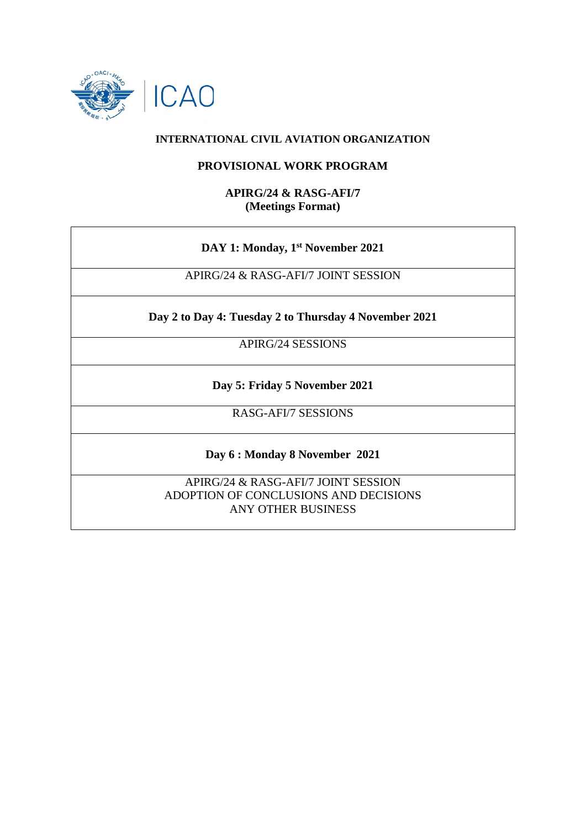

### **INTERNATIONAL CIVIL AVIATION ORGANIZATION**

#### **PROVISIONAL WORK PROGRAM**

#### **APIRG/24 & RASG-AFI/7 (Meetings Format)**

## **DAY 1: Monday, 1st November 2021**

APIRG/24 & RASG-AFI/7 JOINT SESSION

**Day 2 to Day 4: Tuesday 2 to Thursday 4 November 2021**

APIRG/24 SESSIONS

**Day 5: Friday 5 November 2021**

RASG-AFI/7 SESSIONS

**Day 6 : Monday 8 November 2021**

APIRG/24 & RASG-AFI/7 JOINT SESSION ADOPTION OF CONCLUSIONS AND DECISIONS ANY OTHER BUSINESS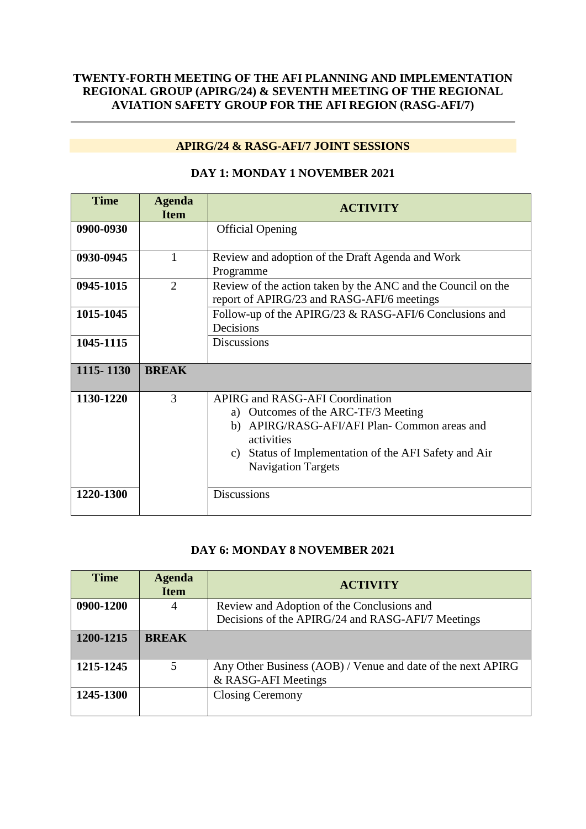## **TWENTY-FORTH MEETING OF THE AFI PLANNING AND IMPLEMENTATION REGIONAL GROUP (APIRG/24) & SEVENTH MEETING OF THE REGIONAL AVIATION SAFETY GROUP FOR THE AFI REGION (RASG-AFI/7)**

# **APIRG/24 & RASG-AFI/7 JOINT SESSIONS**

| <b>Time</b> | <b>Agenda</b><br><b>Item</b> | <b>ACTIVITY</b>                                                                                                                                                                                                                            |
|-------------|------------------------------|--------------------------------------------------------------------------------------------------------------------------------------------------------------------------------------------------------------------------------------------|
| 0900-0930   |                              | <b>Official Opening</b>                                                                                                                                                                                                                    |
| 0930-0945   | 1                            | Review and adoption of the Draft Agenda and Work<br>Programme                                                                                                                                                                              |
| 0945-1015   | 2                            | Review of the action taken by the ANC and the Council on the<br>report of APIRG/23 and RASG-AFI/6 meetings                                                                                                                                 |
| 1015-1045   |                              | Follow-up of the APIRG/23 & RASG-AFI/6 Conclusions and<br>Decisions                                                                                                                                                                        |
| 1045-1115   |                              | Discussions                                                                                                                                                                                                                                |
| 1115-1130   | <b>BREAK</b>                 |                                                                                                                                                                                                                                            |
| 1130-1220   | 3                            | <b>APIRG and RASG-AFI Coordination</b><br>Outcomes of the ARC-TF/3 Meeting<br>a)<br>APIRG/RASG-AFI/AFI Plan- Common areas and<br>b)<br>activities<br>Status of Implementation of the AFI Safety and Air<br>C)<br><b>Navigation Targets</b> |
| 1220-1300   |                              | <b>Discussions</b>                                                                                                                                                                                                                         |

## **DAY 1: MONDAY 1 NOVEMBER 2021**

## **DAY 6: MONDAY 8 NOVEMBER 2021**

| <b>Time</b> | <b>Agenda</b><br><b>Item</b> | <b>ACTIVITY</b>                                                                    |
|-------------|------------------------------|------------------------------------------------------------------------------------|
| 0900-1200   | $\overline{4}$               | Review and Adoption of the Conclusions and                                         |
|             |                              | Decisions of the APIRG/24 and RASG-AFI/7 Meetings                                  |
| 1200-1215   | <b>BREAK</b>                 |                                                                                    |
| 1215-1245   | 5                            | Any Other Business (AOB) / Venue and date of the next APIRG<br>& RASG-AFI Meetings |
| 1245-1300   |                              | <b>Closing Ceremony</b>                                                            |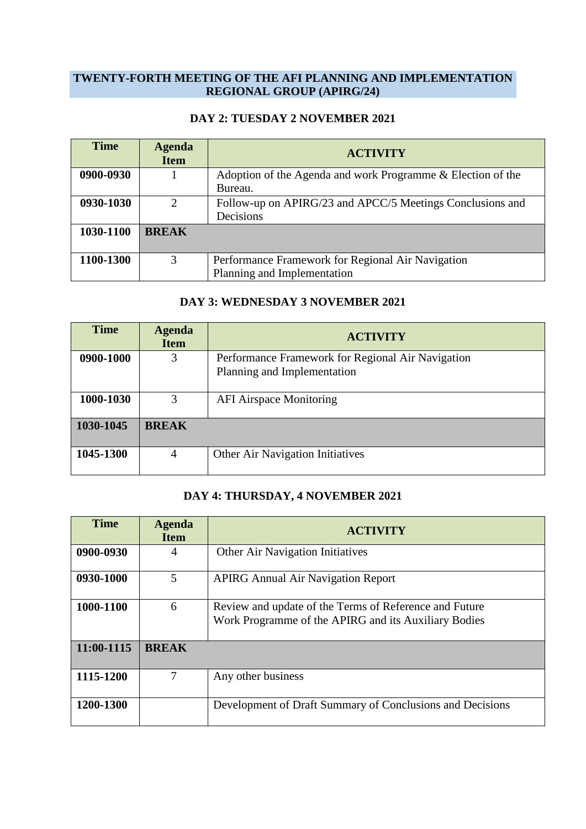#### **TWENTY-FORTH MEETING OF THE AFI PLANNING AND IMPLEMENTATION REGIONAL GROUP (APIRG/24)**

### **DAY 2: TUESDAY 2 NOVEMBER 2021**

| <b>Time</b> | <b>Agenda</b><br><b>Item</b> | <b>ACTIVITY</b>                                                                  |
|-------------|------------------------------|----------------------------------------------------------------------------------|
| 0900-0930   |                              | Adoption of the Agenda and work Programme & Election of the<br>Bureau.           |
| 0930-1030   | $\mathcal{D}$                | Follow-up on APIRG/23 and APCC/5 Meetings Conclusions and<br>Decisions           |
| 1030-1100   | <b>BREAK</b>                 |                                                                                  |
| 1100-1300   | 3                            | Performance Framework for Regional Air Navigation<br>Planning and Implementation |

### **DAY 3: WEDNESDAY 3 NOVEMBER 2021**

| <b>Time</b> | <b>Agenda</b><br><b>Item</b> | <b>ACTIVITY</b>                                                                  |
|-------------|------------------------------|----------------------------------------------------------------------------------|
| 0900-1000   | 3                            | Performance Framework for Regional Air Navigation<br>Planning and Implementation |
| 1000-1030   | 3                            | <b>AFI Airspace Monitoring</b>                                                   |
| 1030-1045   | <b>BREAK</b>                 |                                                                                  |
| 1045-1300   | 4                            | Other Air Navigation Initiatives                                                 |

# **DAY 4: THURSDAY, 4 NOVEMBER 2021**

| <b>Time</b> | <b>Agenda</b><br><b>Item</b> | <b>ACTIVITY</b>                                                                                                |
|-------------|------------------------------|----------------------------------------------------------------------------------------------------------------|
| 0900-0930   | 4                            | <b>Other Air Navigation Initiatives</b>                                                                        |
| 0930-1000   | 5                            | <b>APIRG Annual Air Navigation Report</b>                                                                      |
| 1000-1100   | 6                            | Review and update of the Terms of Reference and Future<br>Work Programme of the APIRG and its Auxiliary Bodies |
| 11:00-1115  | <b>BREAK</b>                 |                                                                                                                |
| 1115-1200   | 7                            | Any other business                                                                                             |
| 1200-1300   |                              | Development of Draft Summary of Conclusions and Decisions                                                      |